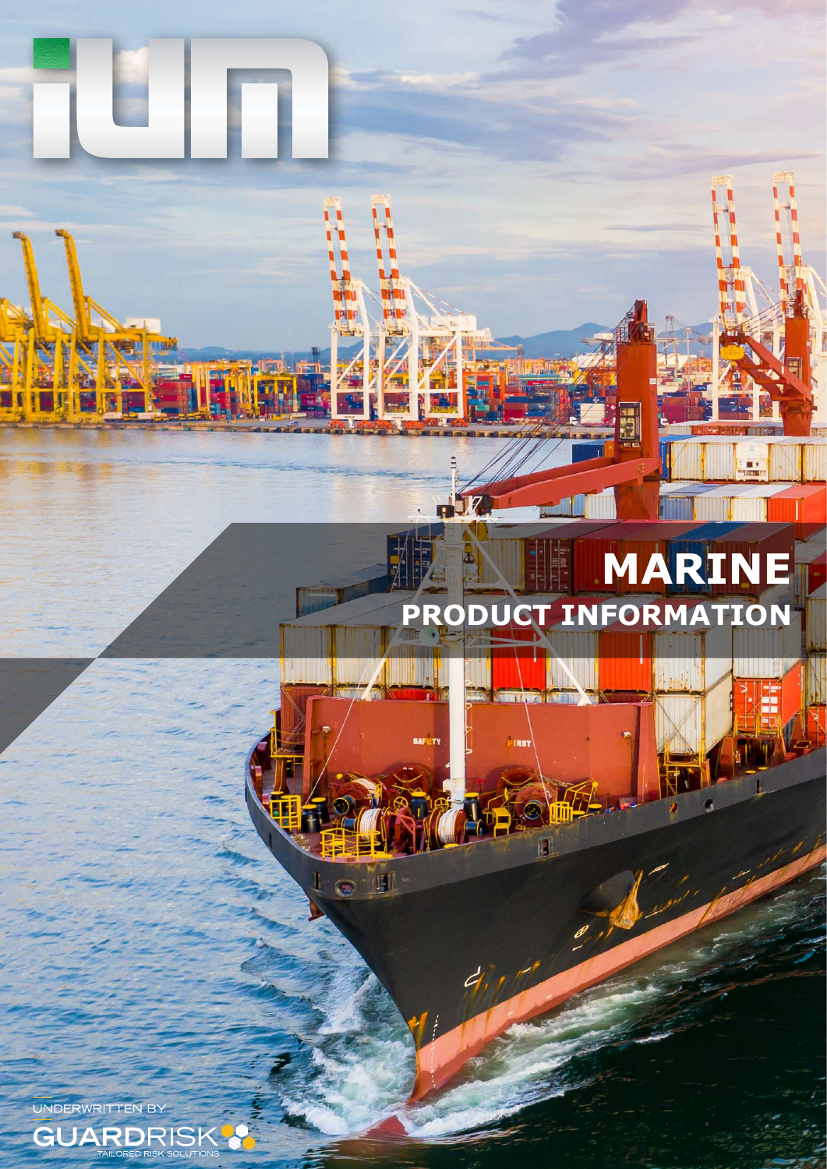# **MARINE PRODUCT INFORMATION**

**SON TAUTA IS STILL** 

**IRS** 

Ŗ

Ť<mark>É</mark>

II. IJ

The

Ĥ

ſ۱

L.

m p

 $17$ 

**SAFETY** 

順

Ĥ ň

ping

UNDERWRITTEN BY

E  $\frac{1}{2}$  denotes

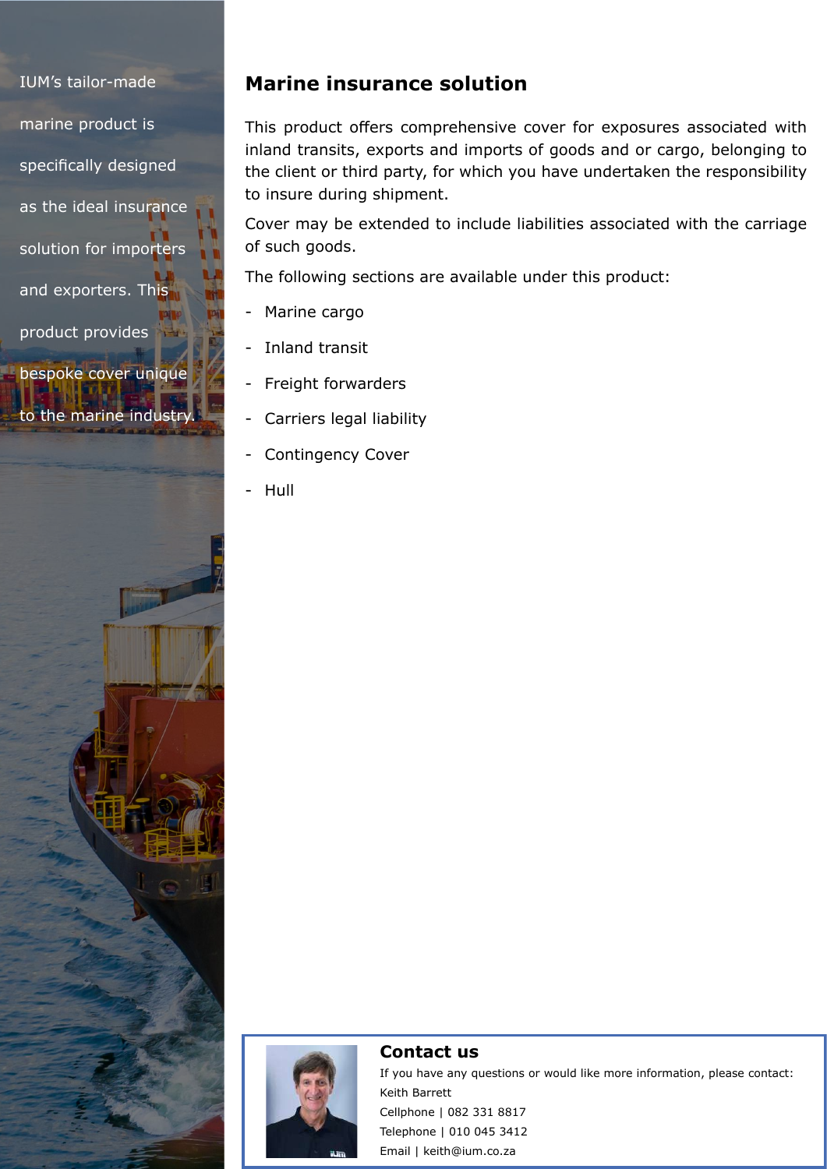IUM's tailor-made marine product is specifically designed as the ideal insurance solution for importers and exporters. This product provides bespoke cover unique

to the marine industry

## **Marine insurance solution**

This product offers comprehensive cover for exposures associated with inland transits, exports and imports of goods and or cargo, belonging to the client or third party, for which you have undertaken the responsibility to insure during shipment.

Cover may be extended to include liabilities associated with the carriage of such goods.

The following sections are available under this product:

- Marine cargo
- Inland transit
- Freight forwarders
- Carriers legal liability
- Contingency Cover
- Hull



#### **Contact us**

If you have any questions or would like more information, please contact: Keith Barrett Cellphone | 082 331 8817 Telephone | 010 045 3412 Email | keith@ium.co.za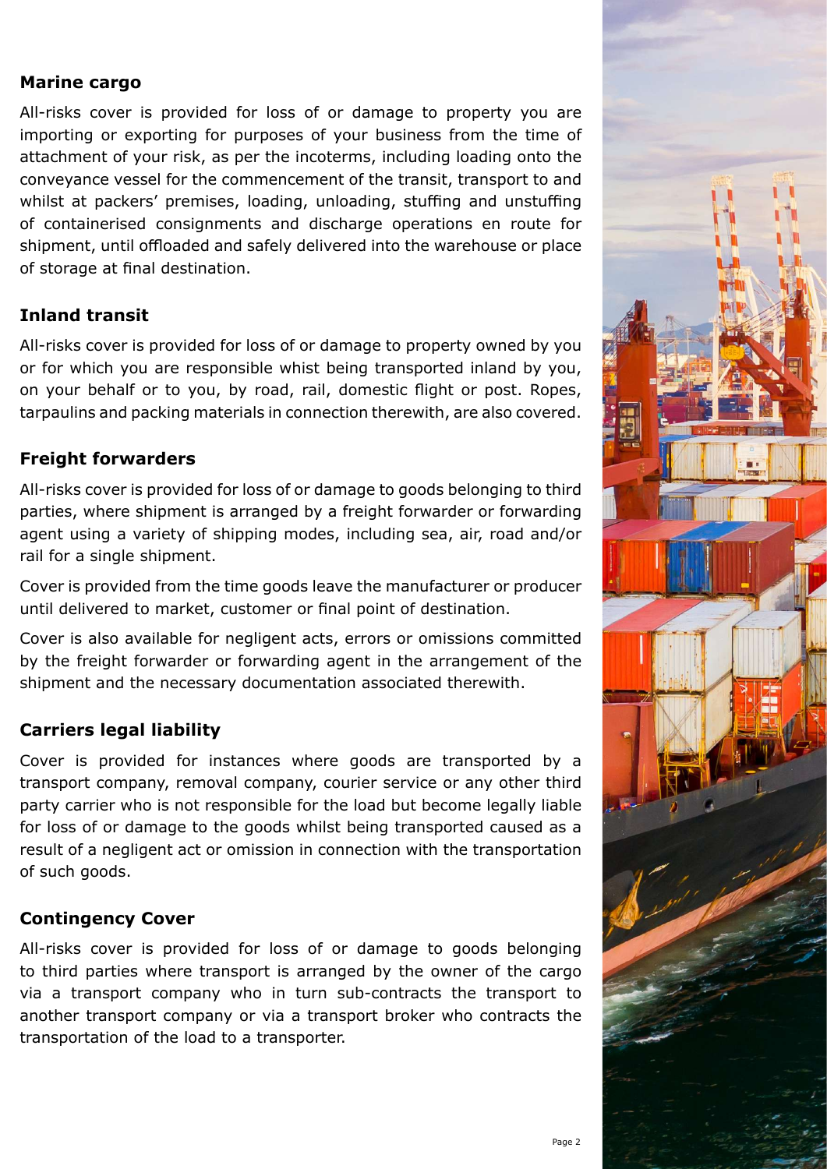#### **Marine cargo**

All-risks cover is provided for loss of or damage to property you are importing or exporting for purposes of your business from the time of attachment of your risk, as per the incoterms, including loading onto the conveyance vessel for the commencement of the transit, transport to and whilst at packers' premises, loading, unloading, stuffing and unstuffing of containerised consignments and discharge operations en route for shipment, until offloaded and safely delivered into the warehouse or place of storage at final destination.

## **Inland transit**

All-risks cover is provided for loss of or damage to property owned by you or for which you are responsible whist being transported inland by you, on your behalf or to you, by road, rail, domestic flight or post. Ropes, tarpaulins and packing materials in connection therewith, are also covered.

## **Freight forwarders**

All-risks cover is provided for loss of or damage to goods belonging to third parties, where shipment is arranged by a freight forwarder or forwarding agent using a variety of shipping modes, including sea, air, road and/or rail for a single shipment.

Cover is provided from the time goods leave the manufacturer or producer until delivered to market, customer or final point of destination.

Cover is also available for negligent acts, errors or omissions committed by the freight forwarder or forwarding agent in the arrangement of the shipment and the necessary documentation associated therewith.

## **Carriers legal liability**

Cover is provided for instances where goods are transported by a transport company, removal company, courier service or any other third party carrier who is not responsible for the load but become legally liable for loss of or damage to the goods whilst being transported caused as a result of a negligent act or omission in connection with the transportation of such goods.

#### **Contingency Cover**

All-risks cover is provided for loss of or damage to goods belonging to third parties where transport is arranged by the owner of the cargo via a transport company who in turn sub-contracts the transport to another transport company or via a transport broker who contracts the transportation of the load to a transporter.

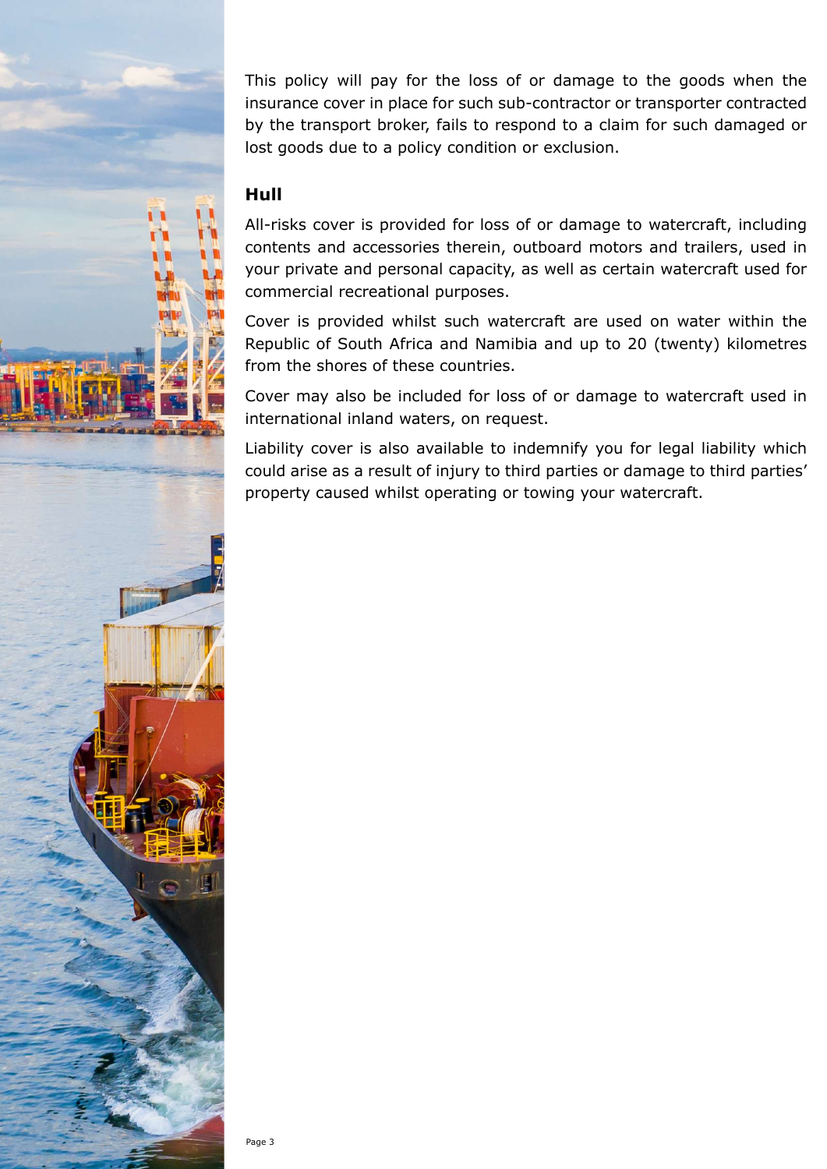This policy will pay for the loss of or damage to the goods when the insurance cover in place for such sub-contractor or transporter contracted by the transport broker, fails to respond to a claim for such damaged or lost goods due to a policy condition or exclusion.

#### **Hull**

All-risks cover is provided for loss of or damage to watercraft, including contents and accessories therein, outboard motors and trailers, used in your private and personal capacity, as well as certain watercraft used for commercial recreational purposes.

Cover is provided whilst such watercraft are used on water within the Republic of South Africa and Namibia and up to 20 (twenty) kilometres from the shores of these countries.

Cover may also be included for loss of or damage to watercraft used in international inland waters, on request.

Liability cover is also available to indemnify you for legal liability which could arise as a result of injury to third parties or damage to third parties' property caused whilst operating or towing your watercraft.